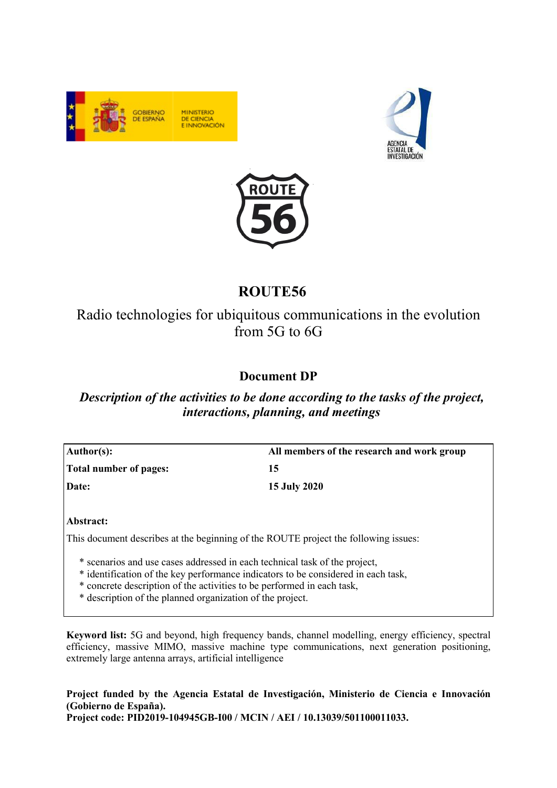





# **ROUTE56**

# Radio technologies for ubiquitous communications in the evolution from 5G to 6G

## **Document DP**

## *Description of the activities to be done according to the tasks of the project, interactions, planning, and meetings*

| Author(s):                    | All members of the research and work group |
|-------------------------------|--------------------------------------------|
| <b>Total number of pages:</b> | 15                                         |
| Date:                         | <b>15 July 2020</b>                        |

## **Abstract:**

This document describes at the beginning of the ROUTE project the following issues:

\* scenarios and use cases addressed in each technical task of the project,

\* identification of the key performance indicators to be considered in each task,

\* concrete description of the activities to be performed in each task,

\* description of the planned organization of the project.

**Keyword list:** 5G and beyond, high frequency bands, channel modelling, energy efficiency, spectral efficiency, massive MIMO, massive machine type communications, next generation positioning, extremely large antenna arrays, artificial intelligence

**Project funded by the Agencia Estatal de Investigación, Ministerio de Ciencia e Innovación (Gobierno de España). Project code: PID2019-104945GB-I00 / MCIN / AEI / 10.13039/501100011033.**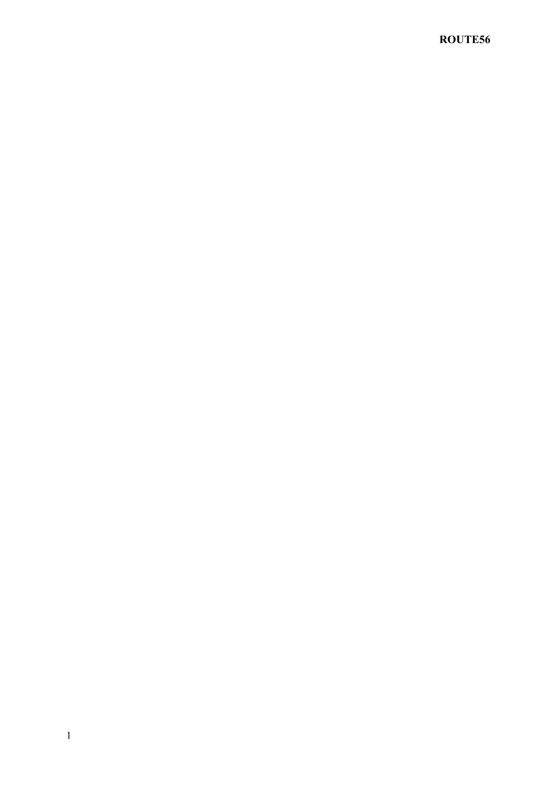## **ROUTE56**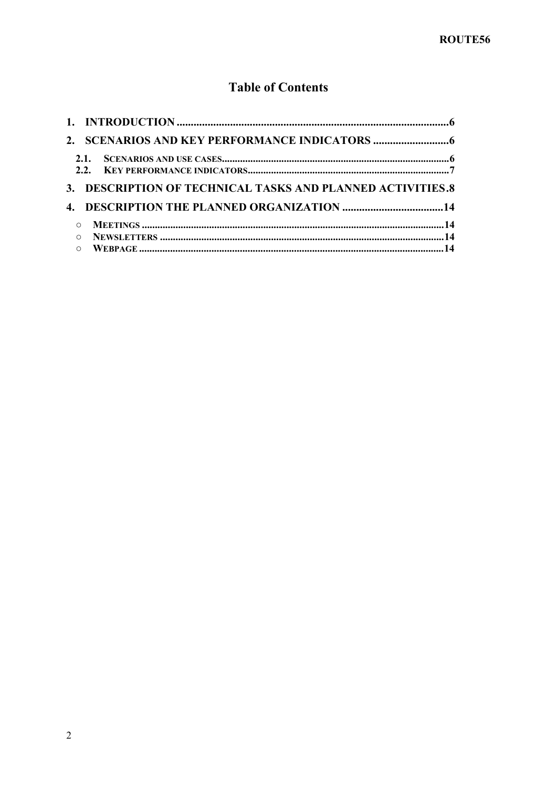## **Table of Contents**

|         | 3. DESCRIPTION OF TECHNICAL TASKS AND PLANNED ACTIVITIES.8 |  |
|---------|------------------------------------------------------------|--|
|         |                                                            |  |
| $\circ$ |                                                            |  |
|         |                                                            |  |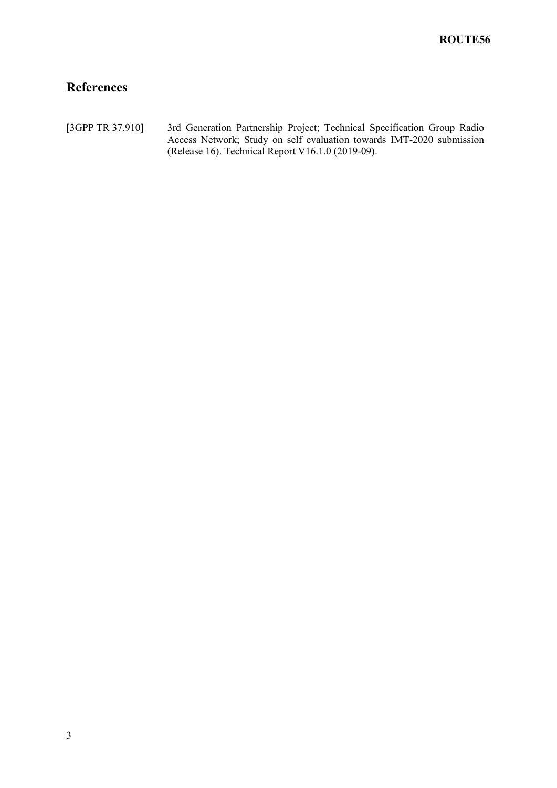## **References**

[3GPP TR 37.910] 3rd Generation Partnership Project; Technical Specification Group Radio Access Network; Study on self evaluation towards IMT-2020 submission (Release 16). Technical Report V16.1.0 (2019-09).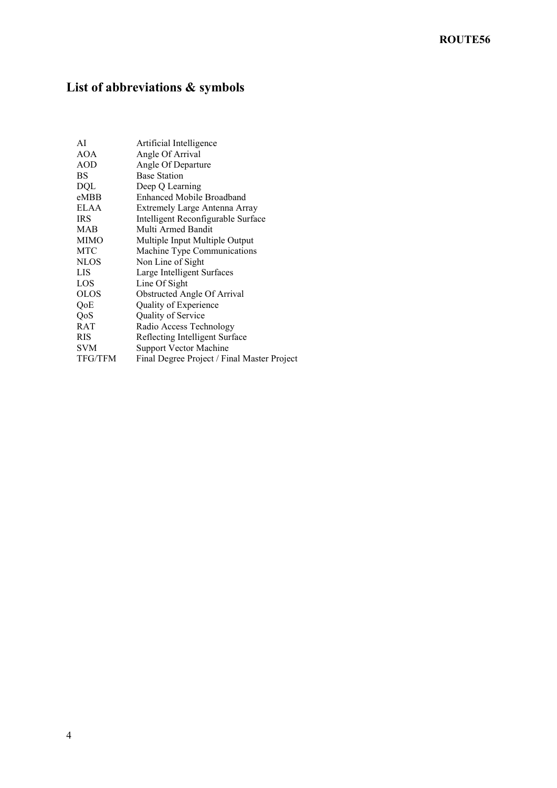# **List of abbreviations & symbols**

| AI             | Artificial Intelligence                     |
|----------------|---------------------------------------------|
| AOA            | Angle Of Arrival                            |
| AOD            | Angle Of Departure                          |
| BS             | <b>Base Station</b>                         |
| DQL            | Deep Q Learning                             |
| eMBB           | Enhanced Mobile Broadband                   |
| <b>ELAA</b>    | Extremely Large Antenna Array               |
| <b>IRS</b>     | Intelligent Reconfigurable Surface          |
| MAB            | Multi Armed Bandit                          |
| <b>MIMO</b>    | Multiple Input Multiple Output              |
| MTC            | Machine Type Communications                 |
| <b>NLOS</b>    | Non Line of Sight                           |
| <b>LIS</b>     | Large Intelligent Surfaces                  |
| LOS            | Line Of Sight                               |
| <b>OLOS</b>    | Obstructed Angle Of Arrival                 |
| QoE            | Quality of Experience                       |
| QoS            | Quality of Service                          |
| RAT            | Radio Access Technology                     |
| RIS            | Reflecting Intelligent Surface              |
| <b>SVM</b>     | Support Vector Machine                      |
| <b>TFG/TFM</b> | Final Degree Project / Final Master Project |
|                |                                             |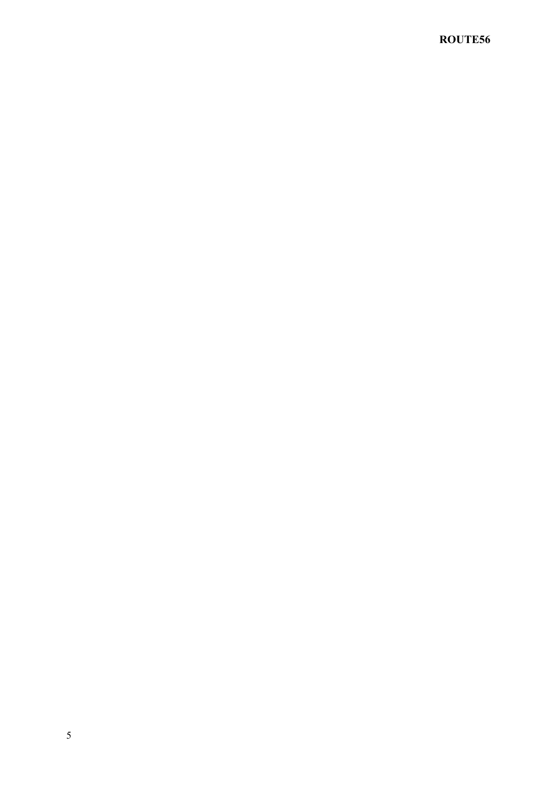## <span id="page-5-0"></span>**ROUTE56**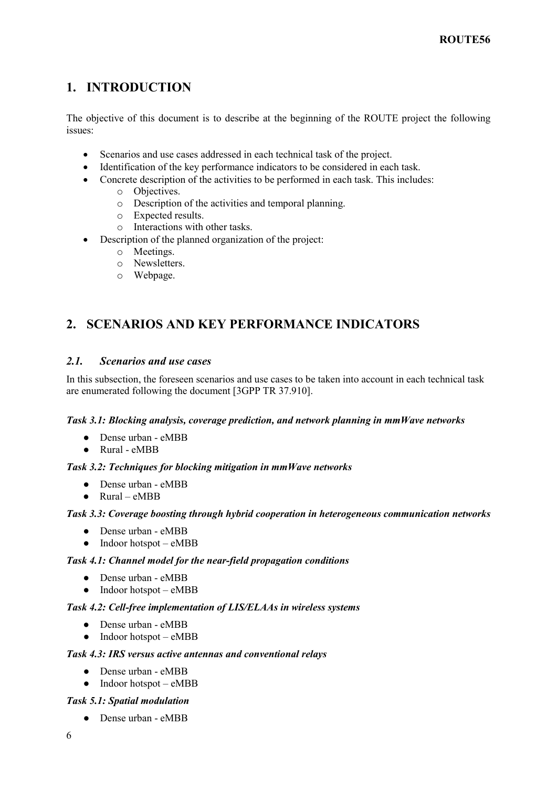## **1. INTRODUCTION**

The objective of this document is to describe at the beginning of the ROUTE project the following issues:

- Scenarios and use cases addressed in each technical task of the project.
- Identification of the key performance indicators to be considered in each task.
- Concrete description of the activities to be performed in each task. This includes:
	- o Objectives.
		- o Description of the activities and temporal planning.
		- o Expected results.
		- o Interactions with other tasks.
- Description of the planned organization of the project:
	- o Meetings.
	- o Newsletters.
	- o Webpage.

# <span id="page-6-0"></span>**2. SCENARIOS AND KEY PERFORMANCE INDICATORS**

## <span id="page-6-1"></span>*2.1. Scenarios and use cases*

In this subsection, the foreseen scenarios and use cases to be taken into account in each technical task are enumerated following the document [3GPP TR 37.910].

## *Task 3.1: Blocking analysis, coverage prediction, and network planning in mmWave networks*

- Dense urban eMBB
- Rural eMBB

## *Task 3.2: Techniques for blocking mitigation in mmWave networks*

- Dense urban eMBB
- $\bullet$  Rural eMBB

## *Task 3.3: Coverage boosting through hybrid cooperation in heterogeneous communication networks*

- Dense urban eMBB
- $\bullet$  Indoor hotspot eMBB

## *Task 4.1: Channel model for the near-field propagation conditions*

- Dense urban eMBB
- $\bullet$  Indoor hotspot eMBB

## *Task 4.2: Cell-free implementation of LIS/ELAAs in wireless systems*

- Dense urban eMBB
- $\bullet$  Indoor hotspot eMBB

## *Task 4.3: IRS versus active antennas and conventional relays*

- Dense urban eMBB
- $\bullet$  Indoor hotspot eMBB

## *Task 5.1: Spatial modulation*

● Dense urban - eMBB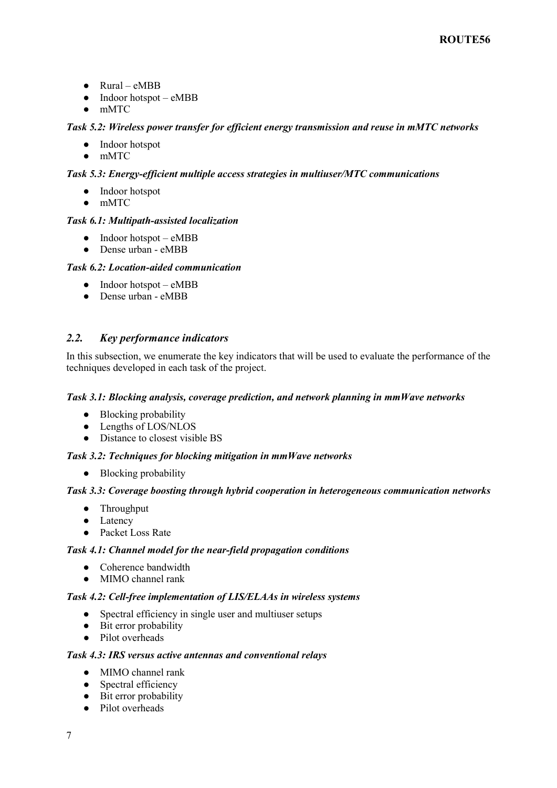- $\bullet$  Rural eMBB
- $\bullet$  Indoor hotspot eMBB
- mMTC

## *Task 5.2: Wireless power transfer for efficient energy transmission and reuse in mMTC networks*

- Indoor hotspot
- $mMTC$

## *Task 5.3: Energy-efficient multiple access strategies in multiuser/MTC communications*

- Indoor hotspot
- $\bullet$  mMTC

## *Task 6.1: Multipath-assisted localization*

- $\bullet$  Indoor hotspot eMBB
- Dense urban eMBB

## *Task 6.2: Location-aided communication*

- $\bullet$  Indoor hotspot eMBB
- Dense urban eMBB

## <span id="page-7-0"></span>*2.2. Key performance indicators*

In this subsection, we enumerate the key indicators that will be used to evaluate the performance of the techniques developed in each task of the project.

## *Task 3.1: Blocking analysis, coverage prediction, and network planning in mmWave networks*

- Blocking probability
- Lengths of LOS/NLOS
- Distance to closest visible BS

## *Task 3.2: Techniques for blocking mitigation in mmWave networks*

• Blocking probability

## *Task 3.3: Coverage boosting through hybrid cooperation in heterogeneous communication networks*

- Throughput
- Latency
- Packet Loss Rate

## *Task 4.1: Channel model for the near-field propagation conditions*

- Coherence bandwidth
- MIMO channel rank

#### *Task 4.2: Cell-free implementation of LIS/ELAAs in wireless systems*

- Spectral efficiency in single user and multiuser setups
- Bit error probability
- Pilot overheads

#### *Task 4.3: IRS versus active antennas and conventional relays*

- MIMO channel rank
- Spectral efficiency
- Bit error probability
- Pilot overheads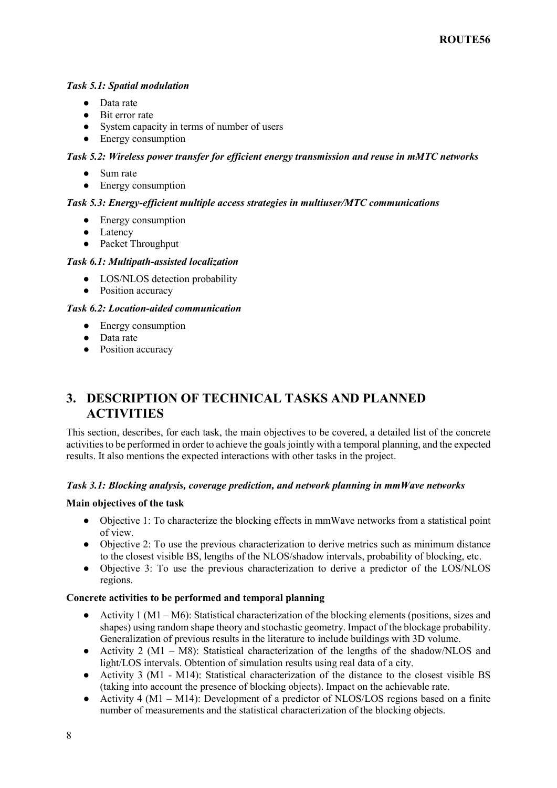## *Task 5.1: Spatial modulation*

- Data rate
- Bit error rate
- System capacity in terms of number of users
- Energy consumption

## *Task 5.2: Wireless power transfer for efficient energy transmission and reuse in mMTC networks*

- Sum rate
- Energy consumption

## *Task 5.3: Energy-efficient multiple access strategies in multiuser/MTC communications*

- Energy consumption
- Latency
- Packet Throughput

## *Task 6.1: Multipath-assisted localization*

- LOS/NLOS detection probability
- Position accuracy

## *Task 6.2: Location-aided communication*

- Energy consumption
- Data rate
- Position accuracy

## <span id="page-8-0"></span>**3. DESCRIPTION OF TECHNICAL TASKS AND PLANNED ACTIVITIES**

This section, describes, for each task, the main objectives to be covered, a detailed list of the concrete activities to be performed in order to achieve the goals jointly with a temporal planning, and the expected results. It also mentions the expected interactions with other tasks in the project.

## *Task 3.1: Blocking analysis, coverage prediction, and network planning in mmWave networks*

## **Main objectives of the task**

- Objective 1: To characterize the blocking effects in mmWave networks from a statistical point of view.
- Objective 2: To use the previous characterization to derive metrics such as minimum distance to the closest visible BS, lengths of the NLOS/shadow intervals, probability of blocking, etc.
- Objective 3: To use the previous characterization to derive a predictor of the LOS/NLOS regions.

## **Concrete activities to be performed and temporal planning**

- Activity 1 (M1 M6): Statistical characterization of the blocking elements (positions, sizes and shapes) using random shape theory and stochastic geometry. Impact of the blockage probability. Generalization of previous results in the literature to include buildings with 3D volume.
- Activity 2 ( $M1 MS$ ): Statistical characterization of the lengths of the shadow/NLOS and light/LOS intervals. Obtention of simulation results using real data of a city.
- Activity 3 (M1 M14): Statistical characterization of the distance to the closest visible BS (taking into account the presence of blocking objects). Impact on the achievable rate.
- Activity 4 (M1 M14): Development of a predictor of NLOS/LOS regions based on a finite number of measurements and the statistical characterization of the blocking objects.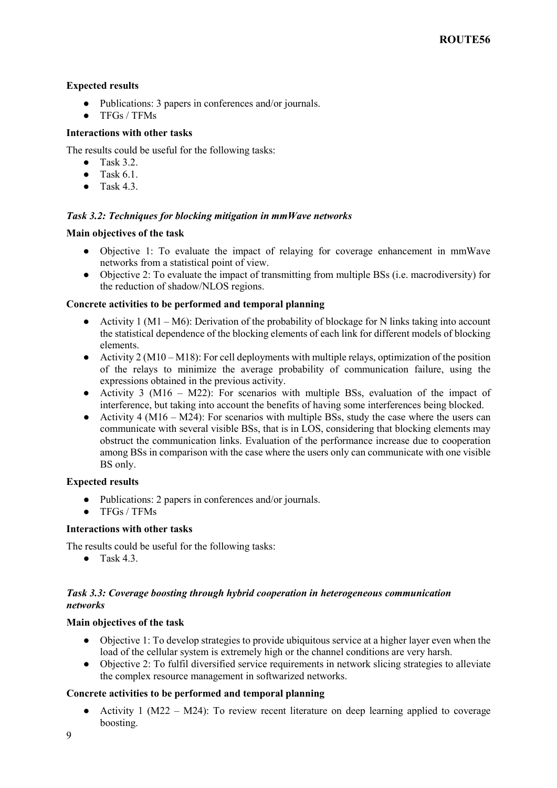## **Expected results**

- Publications: 3 papers in conferences and/or journals.
- TFGs / TFMs

## **Interactions with other tasks**

The results could be useful for the following tasks:

- $\bullet$  Task 3.2.
- $\bullet$  Task 6.1.
- $\bullet$  Task 4.3.

## *Task 3.2: Techniques for blocking mitigation in mmWave networks*

## **Main objectives of the task**

- Objective 1: To evaluate the impact of relaying for coverage enhancement in mmWave networks from a statistical point of view.
- Objective 2: To evaluate the impact of transmitting from multiple BSs (i.e. macrodiversity) for the reduction of shadow/NLOS regions.

## **Concrete activities to be performed and temporal planning**

- Activity 1 ( $M1 M6$ ): Derivation of the probability of blockage for N links taking into account the statistical dependence of the blocking elements of each link for different models of blocking elements.
- Activity 2 (M10 M18): For cell deployments with multiple relays, optimization of the position of the relays to minimize the average probability of communication failure, using the expressions obtained in the previous activity.
- Activity 3 (M16 M22): For scenarios with multiple BSs, evaluation of the impact of interference, but taking into account the benefits of having some interferences being blocked.
- Activity 4 (M16 M24): For scenarios with multiple BSs, study the case where the users can communicate with several visible BSs, that is in LOS, considering that blocking elements may obstruct the communication links. Evaluation of the performance increase due to cooperation among BSs in comparison with the case where the users only can communicate with one visible BS only.

## **Expected results**

- Publications: 2 papers in conferences and/or journals.
- TFGs / TFMs

## **Interactions with other tasks**

The results could be useful for the following tasks:

 $\bullet$  Task 4.3.

## *Task 3.3: Coverage boosting through hybrid cooperation in heterogeneous communication networks*

## **Main objectives of the task**

- Objective 1: To develop strategies to provide ubiquitous service at a higher layer even when the load of the cellular system is extremely high or the channel conditions are very harsh.
- Objective 2: To fulfil diversified service requirements in network slicing strategies to alleviate the complex resource management in softwarized networks.

## **Concrete activities to be performed and temporal planning**

• Activity 1 (M22 – M24): To review recent literature on deep learning applied to coverage boosting.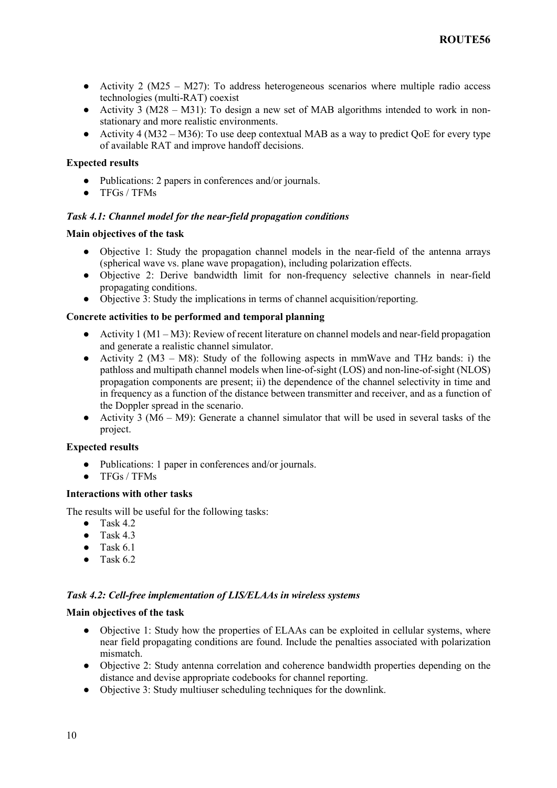- Activity 2 (M25 M27): To address heterogeneous scenarios where multiple radio access technologies (multi-RAT) coexist
- Activity 3 (M28 M31): To design a new set of MAB algorithms intended to work in nonstationary and more realistic environments.
- Activity 4 (M32 M36): To use deep contextual MAB as a way to predict OoE for every type of available RAT and improve handoff decisions.

#### **Expected results**

- Publications: 2 papers in conferences and/or journals.
- $\bullet$  TFGs / TFMs

#### *Task 4.1: Channel model for the near-field propagation conditions*

#### **Main objectives of the task**

- Objective 1: Study the propagation channel models in the near-field of the antenna arrays (spherical wave vs. plane wave propagation), including polarization effects.
- Objective 2: Derive bandwidth limit for non-frequency selective channels in near-field propagating conditions.
- Objective 3: Study the implications in terms of channel acquisition/reporting.

### **Concrete activities to be performed and temporal planning**

- $\bullet$  Activity 1 (M1 M3): Review of recent literature on channel models and near-field propagation and generate a realistic channel simulator.
- Activity 2 ( $M3 M8$ ): Study of the following aspects in mmWave and THz bands: i) the pathloss and multipath channel models when line-of-sight (LOS) and non-line-of-sight (NLOS) propagation components are present; ii) the dependence of the channel selectivity in time and in frequency as a function of the distance between transmitter and receiver, and as a function of the Doppler spread in the scenario.
- Activity 3 ( $M6 M9$ ): Generate a channel simulator that will be used in several tasks of the project.

#### **Expected results**

- Publications: 1 paper in conferences and/or journals.
- TFGs / TFMs

#### **Interactions with other tasks**

The results will be useful for the following tasks:

- $\bullet$  Task 4.2
- $\bullet$  Task 4.3
- Task 6.1
- $\bullet$  Task 6.2

#### *Task 4.2: Cell-free implementation of LIS/ELAAs in wireless systems*

#### **Main objectives of the task**

- Objective 1: Study how the properties of ELAAs can be exploited in cellular systems, where near field propagating conditions are found. Include the penalties associated with polarization mismatch.
- Objective 2: Study antenna correlation and coherence bandwidth properties depending on the distance and devise appropriate codebooks for channel reporting.
- Objective 3: Study multiuser scheduling techniques for the downlink.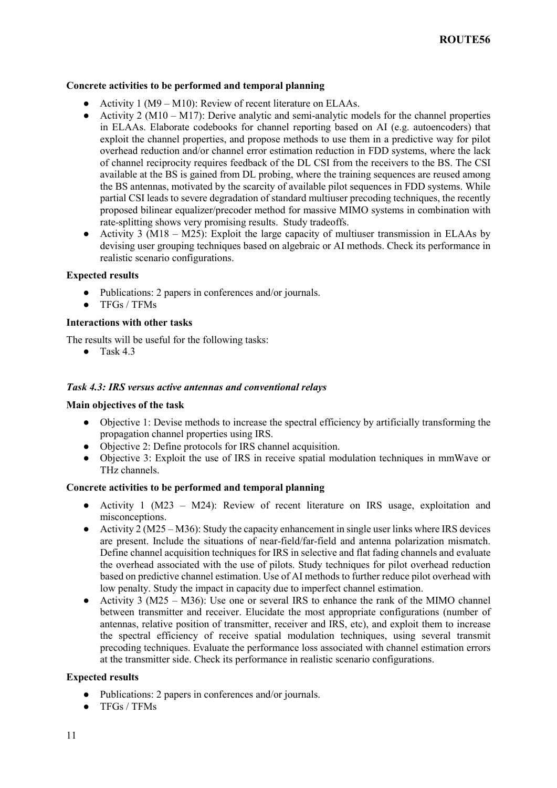#### **Concrete activities to be performed and temporal planning**

- Activity 1 (M9 M10): Review of recent literature on ELAAs.
- Activity 2 (M10 M17): Derive analytic and semi-analytic models for the channel properties in ELAAs. Elaborate codebooks for channel reporting based on AI (e.g. autoencoders) that exploit the channel properties, and propose methods to use them in a predictive way for pilot overhead reduction and/or channel error estimation reduction in FDD systems, where the lack of channel reciprocity requires feedback of the DL CSI from the receivers to the BS. The CSI available at the BS is gained from DL probing, where the training sequences are reused among the BS antennas, motivated by the scarcity of available pilot sequences in FDD systems. While partial CSI leads to severe degradation of standard multiuser precoding techniques, the recently proposed bilinear equalizer/precoder method for massive MIMO systems in combination with rate-splitting shows very promising results. Study tradeoffs.
- Activity 3 (M18 M25): Exploit the large capacity of multiuser transmission in ELAAs by devising user grouping techniques based on algebraic or AI methods. Check its performance in realistic scenario configurations.

#### **Expected results**

- Publications: 2 papers in conferences and/or journals.
- TFGs / TFMs

### **Interactions with other tasks**

The results will be useful for the following tasks:

 $\bullet$  Task 4.3

#### *Task 4.3: IRS versus active antennas and conventional relays*

#### **Main objectives of the task**

- Objective 1: Devise methods to increase the spectral efficiency by artificially transforming the propagation channel properties using IRS.
- Objective 2: Define protocols for IRS channel acquisition.
- Objective 3: Exploit the use of IRS in receive spatial modulation techniques in mmWave or THz channels.

#### **Concrete activities to be performed and temporal planning**

- Activity 1 (M23 M24): Review of recent literature on IRS usage, exploitation and misconceptions.
- Activity 2 ( $M25 M36$ ): Study the capacity enhancement in single user links where IRS devices are present. Include the situations of near-field/far-field and antenna polarization mismatch. Define channel acquisition techniques for IRS in selective and flat fading channels and evaluate the overhead associated with the use of pilots. Study techniques for pilot overhead reduction based on predictive channel estimation. Use of AI methods to further reduce pilot overhead with low penalty. Study the impact in capacity due to imperfect channel estimation.
- Activity 3 ( $M25 M36$ ): Use one or several IRS to enhance the rank of the MIMO channel between transmitter and receiver. Elucidate the most appropriate configurations (number of antennas, relative position of transmitter, receiver and IRS, etc), and exploit them to increase the spectral efficiency of receive spatial modulation techniques, using several transmit precoding techniques. Evaluate the performance loss associated with channel estimation errors at the transmitter side. Check its performance in realistic scenario configurations.

#### **Expected results**

- Publications: 2 papers in conferences and/or journals.
- TFGs / TFMs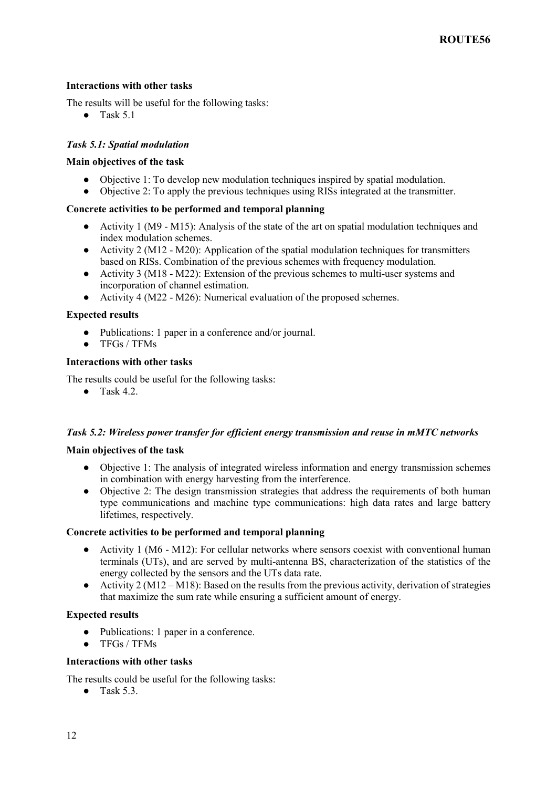### **Interactions with other tasks**

The results will be useful for the following tasks:

 $\bullet$  Task 5.1

## *Task 5.1: Spatial modulation*

#### **Main objectives of the task**

- Objective 1: To develop new modulation techniques inspired by spatial modulation.
- Objective 2: To apply the previous techniques using RISs integrated at the transmitter.

#### **Concrete activities to be performed and temporal planning**

- Activity 1 (M9 M15): Analysis of the state of the art on spatial modulation techniques and index modulation schemes.
- Activity 2 (M12 M20): Application of the spatial modulation techniques for transmitters based on RISs. Combination of the previous schemes with frequency modulation.
- Activity 3 (M18 M22): Extension of the previous schemes to multi-user systems and incorporation of channel estimation.
- Activity 4 (M22 M26): Numerical evaluation of the proposed schemes.

## **Expected results**

- Publications: 1 paper in a conference and/or journal.
- TFGs / TFMs

#### **Interactions with other tasks**

The results could be useful for the following tasks:

 $\bullet$  Task 4.2.

#### *Task 5.2: Wireless power transfer for efficient energy transmission and reuse in mMTC networks*

#### **Main objectives of the task**

- Objective 1: The analysis of integrated wireless information and energy transmission schemes in combination with energy harvesting from the interference.
- Objective 2: The design transmission strategies that address the requirements of both human type communications and machine type communications: high data rates and large battery lifetimes, respectively.

#### **Concrete activities to be performed and temporal planning**

- Activity 1 (M6 M12): For cellular networks where sensors coexist with conventional human terminals (UTs), and are served by multi-antenna BS, characterization of the statistics of the energy collected by the sensors and the UTs data rate.
- Activity 2 (M12 M18): Based on the results from the previous activity, derivation of strategies that maximize the sum rate while ensuring a sufficient amount of energy.

#### **Expected results**

- Publications: 1 paper in a conference.
- TFGs / TFMs

#### **Interactions with other tasks**

The results could be useful for the following tasks:

 $\bullet$  Task 5.3.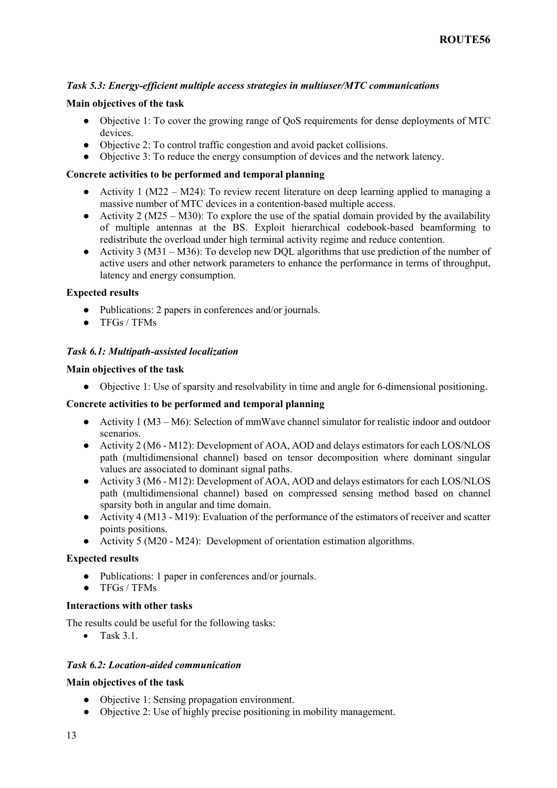## *Task 5.3: Energy-efficient multiple access strategies in multiuser/MTC communications*

### **Main objectives of the task**

- Objective 1: To cover the growing range of QoS requirements for dense deployments of MTC devices.
- Objective 2: To control traffic congestion and avoid packet collisions.
- Objective 3: To reduce the energy consumption of devices and the network latency.

#### **Concrete activities to be performed and temporal planning**

- Activity 1 (M22 M24): To review recent literature on deep learning applied to managing a massive number of MTC devices in a contention-based multiple access.
- Activity 2 (M25 M30): To explore the use of the spatial domain provided by the availability of multiple antennas at the BS. Exploit hierarchical codebook-based beamforming to redistribute the overload under high terminal activity regime and reduce contention.
- Activity 3 ( $M31 M36$ ): To develop new DOL algorithms that use prediction of the number of active users and other network parameters to enhance the performance in terms of throughput, latency and energy consumption.

#### **Expected results**

- Publications: 2 papers in conferences and/or journals.
- TFGs / TFMs

#### *Task 6.1: Multipath-assisted localization*

#### **Main objectives of the task**

● Objective 1: Use of sparsity and resolvability in time and angle for 6-dimensional positioning.

#### **Concrete activities to be performed and temporal planning**

- Activity 1 ( $M3 M6$ ): Selection of mmWave channel simulator for realistic indoor and outdoor scenarios.
- Activity 2 (M6 M12): Development of AOA, AOD and delays estimators for each LOS/NLOS path (multidimensional channel) based on tensor decomposition where dominant singular values are associated to dominant signal paths.
- Activity 3 (M6 M12): Development of AOA, AOD and delays estimators for each LOS/NLOS path (multidimensional channel) based on compressed sensing method based on channel sparsity both in angular and time domain.
- Activity 4 (M13 M19): Evaluation of the performance of the estimators of receiver and scatter points positions.
- Activity 5 (M20 M24): Development of orientation estimation algorithms.

#### **Expected results**

- Publications: 1 paper in conferences and/or journals.
- TFGs / TFMs

#### **Interactions with other tasks**

The results could be useful for the following tasks:

 $\bullet$  Task 3.1.

#### *Task 6.2: Location-aided communication*

#### **Main objectives of the task**

- Objective 1: Sensing propagation environment.
- Objective 2: Use of highly precise positioning in mobility management.